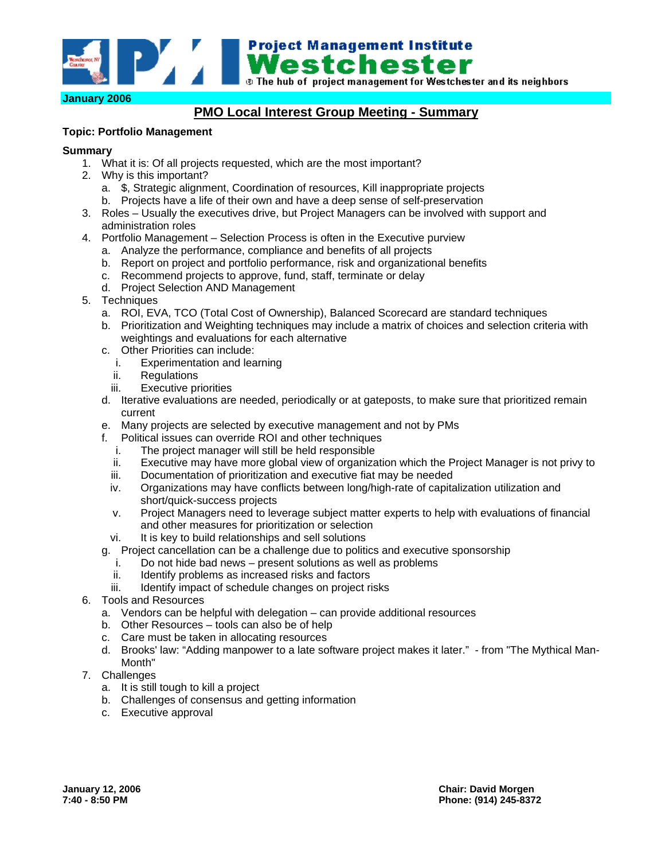

# **PMO Local Interest Group Meeting - Summary**

### **Topic: Portfolio Management**

### **Summary**

- 1. What it is: Of all projects requested, which are the most important?
- 2. Why is this important?
	- a. \$, Strategic alignment, Coordination of resources, Kill inappropriate projects
	- b. Projects have a life of their own and have a deep sense of self-preservation
- 3. Roles Usually the executives drive, but Project Managers can be involved with support and administration roles
- 4. Portfolio Management Selection Process is often in the Executive purview
	- a. Analyze the performance, compliance and benefits of all projects
	- b. Report on project and portfolio performance, risk and organizational benefits
	- c. Recommend projects to approve, fund, staff, terminate or delay
	- d. Project Selection AND Management
- 5. Techniques
	- a. ROI, EVA, TCO (Total Cost of Ownership), Balanced Scorecard are standard techniques
	- b. Prioritization and Weighting techniques may include a matrix of choices and selection criteria with weightings and evaluations for each alternative
	- c. Other Priorities can include:
		- i. Experimentation and learning
		- ii. Regulations
		- iii. Executive priorities
	- d. Iterative evaluations are needed, periodically or at gateposts, to make sure that prioritized remain current
	- e. Many projects are selected by executive management and not by PMs
	- f. Political issues can override ROI and other techniques
		- i. The project manager will still be held responsible
		- ii. Executive may have more global view of organization which the Project Manager is not privy to
		- iii. Documentation of prioritization and executive fiat may be needed
		- iv. Organizations may have conflicts between long/high-rate of capitalization utilization and short/quick-success projects
		- v. Project Managers need to leverage subject matter experts to help with evaluations of financial and other measures for prioritization or selection
		- vi. It is key to build relationships and sell solutions
	- g. Project cancellation can be a challenge due to politics and executive sponsorship
		- i. Do not hide bad news present solutions as well as problems
		- ii. Identify problems as increased risks and factors
		- iii. Identify impact of schedule changes on project risks
- 6. Tools and Resources
	- a. Vendors can be helpful with delegation can provide additional resources
	- b. Other Resources tools can also be of help
	- c. Care must be taken in allocating resources
	- d. Brooks' law: "Adding manpower to a late software project makes it later." from "The Mythical Man-Month"
- 7. Challenges
	- a. It is still tough to kill a project
	- b. Challenges of consensus and getting information
	- c. Executive approval